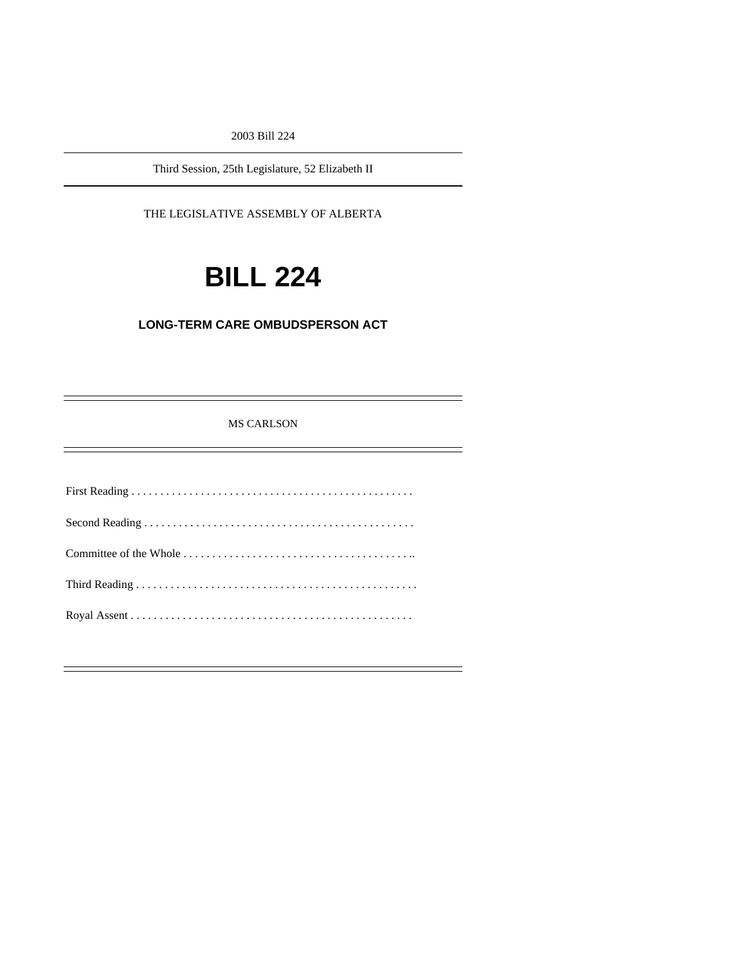2003 Bill 224

Third Session, 25th Legislature, 52 Elizabeth II

THE LEGISLATIVE ASSEMBLY OF ALBERTA

# **BILL 224**

# **LONG-TERM CARE OMBUDSPERSON ACT**

MS CARLSON

First Reading . . . . . . . . . . . . . . . . . . . . . . . . . . . . . . . . . . . . . . . . . . . . . . . . . Second Reading . . . . . . . . . . . . . . . . . . . . . . . . . . . . . . . . . . . . . . . . . . . . . . . Committee of the Whole . . . . . . . . . . . . . . . . . . . . . . . . . . . . . . . . . . . . . . . .. Third Reading . . . . . . . . . . . . . . . . . . . . . . . . . . . . . . . . . . . . . . . . . . . . . . . . . Royal Assent . . . . . . . . . . . . . . . . . . . . . . . . . . . . . . . . . . . . . . . . . . . . . . . . .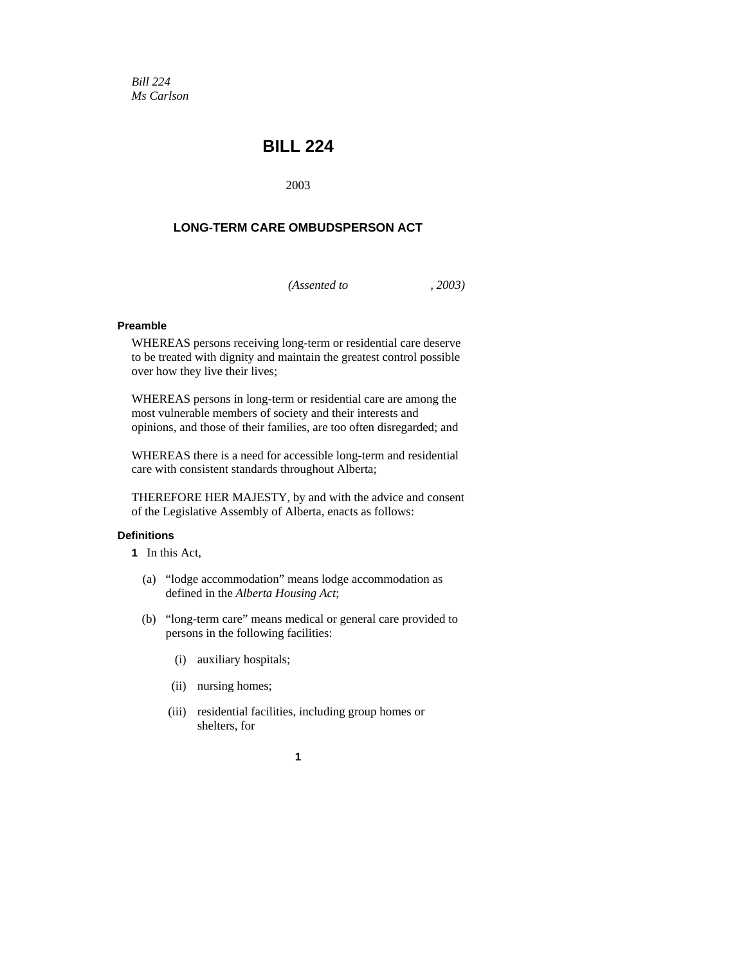*Bill 224 Ms Carlson* 

# **BILL 224**

2003

# **LONG-TERM CARE OMBUDSPERSON ACT**

*(Assented to , 2003)* 

# **Preamble**

WHEREAS persons receiving long-term or residential care deserve to be treated with dignity and maintain the greatest control possible over how they live their lives;

WHEREAS persons in long-term or residential care are among the most vulnerable members of society and their interests and opinions, and those of their families, are too often disregarded; and

WHEREAS there is a need for accessible long-term and residential care with consistent standards throughout Alberta;

THEREFORE HER MAJESTY, by and with the advice and consent of the Legislative Assembly of Alberta, enacts as follows:

# **Definitions**

- **1** In this Act,
	- (a) "lodge accommodation" means lodge accommodation as defined in the *Alberta Housing Act*;
	- (b) "long-term care" means medical or general care provided to persons in the following facilities:
		- (i) auxiliary hospitals;
		- (ii) nursing homes;
		- (iii) residential facilities, including group homes or shelters, for
			- **1**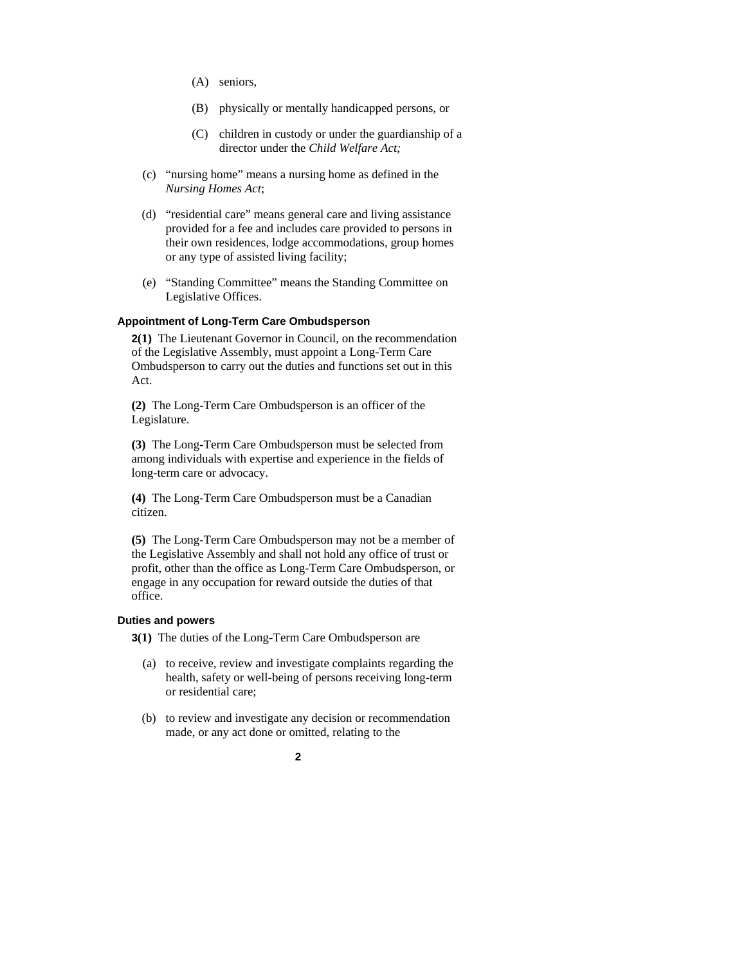- (A) seniors,
- (B) physically or mentally handicapped persons, or
- (C) children in custody or under the guardianship of a director under the *Child Welfare Act;*
- (c) "nursing home" means a nursing home as defined in the *Nursing Homes Act*;
- (d) "residential care" means general care and living assistance provided for a fee and includes care provided to persons in their own residences, lodge accommodations, group homes or any type of assisted living facility;
- (e) "Standing Committee" means the Standing Committee on Legislative Offices.

# **Appointment of Long-Term Care Ombudsperson**

**2(1)** The Lieutenant Governor in Council, on the recommendation of the Legislative Assembly, must appoint a Long-Term Care Ombudsperson to carry out the duties and functions set out in this Act.

**(2)** The Long-Term Care Ombudsperson is an officer of the Legislature.

**(3)** The Long-Term Care Ombudsperson must be selected from among individuals with expertise and experience in the fields of long-term care or advocacy.

**(4)** The Long-Term Care Ombudsperson must be a Canadian citizen.

**(5)** The Long-Term Care Ombudsperson may not be a member of the Legislative Assembly and shall not hold any office of trust or profit, other than the office as Long-Term Care Ombudsperson, or engage in any occupation for reward outside the duties of that office.

#### **Duties and powers**

**3(1)** The duties of the Long-Term Care Ombudsperson are

- (a) to receive, review and investigate complaints regarding the health, safety or well-being of persons receiving long-term or residential care;
- (b) to review and investigate any decision or recommendation made, or any act done or omitted, relating to the

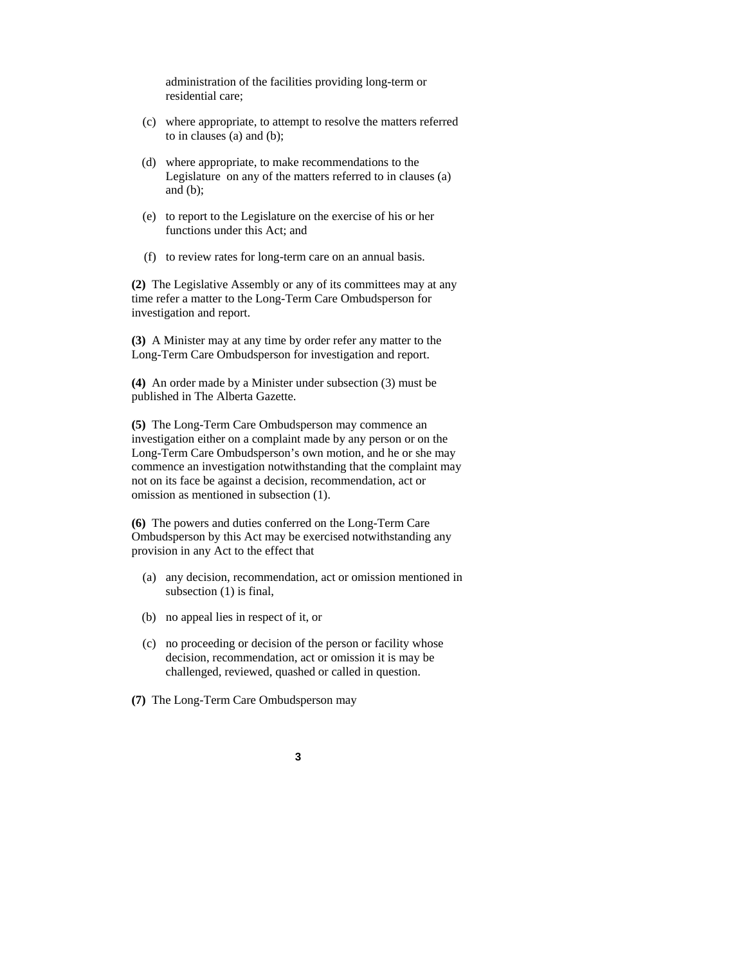administration of the facilities providing long-term or residential care;

- (c) where appropriate, to attempt to resolve the matters referred to in clauses (a) and (b);
- (d) where appropriate, to make recommendations to the Legislature on any of the matters referred to in clauses (a) and (b);
- (e) to report to the Legislature on the exercise of his or her functions under this Act; and
- (f) to review rates for long-term care on an annual basis.

**(2)** The Legislative Assembly or any of its committees may at any time refer a matter to the Long-Term Care Ombudsperson for investigation and report.

**(3)** A Minister may at any time by order refer any matter to the Long-Term Care Ombudsperson for investigation and report.

**(4)** An order made by a Minister under subsection (3) must be published in The Alberta Gazette.

**(5)** The Long-Term Care Ombudsperson may commence an investigation either on a complaint made by any person or on the Long-Term Care Ombudsperson's own motion, and he or she may commence an investigation notwithstanding that the complaint may not on its face be against a decision, recommendation, act or omission as mentioned in subsection (1).

**(6)** The powers and duties conferred on the Long-Term Care Ombudsperson by this Act may be exercised notwithstanding any provision in any Act to the effect that

- (a) any decision, recommendation, act or omission mentioned in subsection (1) is final,
- (b) no appeal lies in respect of it, or
- (c) no proceeding or decision of the person or facility whose decision, recommendation, act or omission it is may be challenged, reviewed, quashed or called in question.
- **(7)** The Long-Term Care Ombudsperson may
	- **3**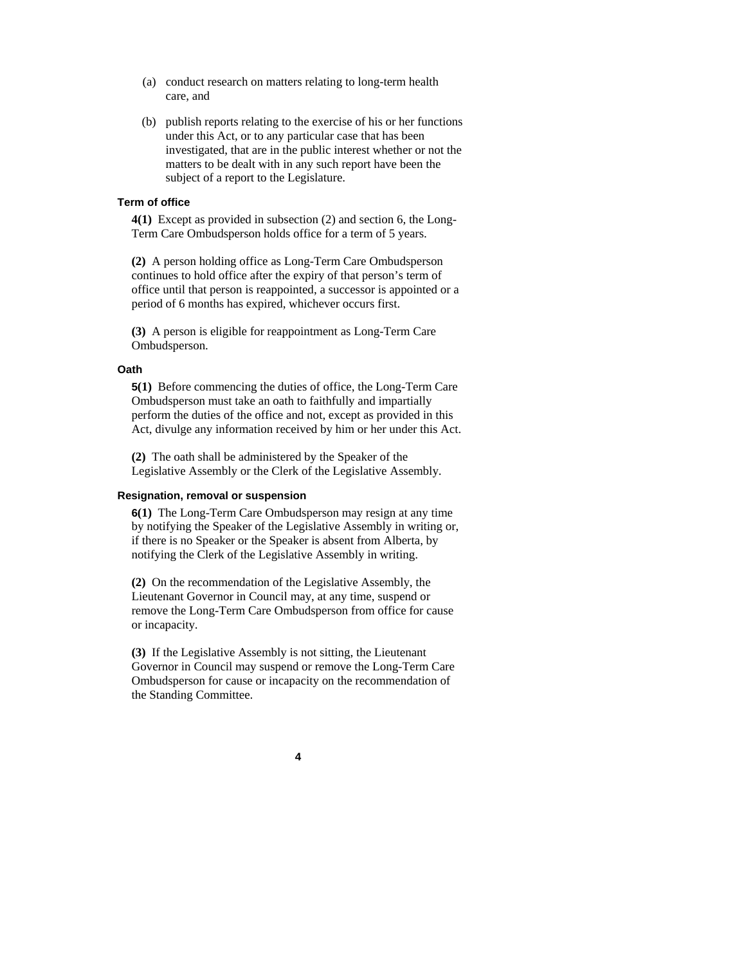- (a) conduct research on matters relating to long-term health care, and
- (b) publish reports relating to the exercise of his or her functions under this Act, or to any particular case that has been investigated, that are in the public interest whether or not the matters to be dealt with in any such report have been the subject of a report to the Legislature.

#### **Term of office**

**4(1)** Except as provided in subsection (2) and section 6, the Long-Term Care Ombudsperson holds office for a term of 5 years.

**(2)** A person holding office as Long-Term Care Ombudsperson continues to hold office after the expiry of that person's term of office until that person is reappointed, a successor is appointed or a period of 6 months has expired, whichever occurs first.

**(3)** A person is eligible for reappointment as Long-Term Care Ombudsperson.

#### **Oath**

**5(1)** Before commencing the duties of office, the Long-Term Care Ombudsperson must take an oath to faithfully and impartially perform the duties of the office and not, except as provided in this Act, divulge any information received by him or her under this Act.

**(2)** The oath shall be administered by the Speaker of the Legislative Assembly or the Clerk of the Legislative Assembly.

#### **Resignation, removal or suspension**

**6(1)** The Long-Term Care Ombudsperson may resign at any time by notifying the Speaker of the Legislative Assembly in writing or, if there is no Speaker or the Speaker is absent from Alberta, by notifying the Clerk of the Legislative Assembly in writing.

**(2)** On the recommendation of the Legislative Assembly, the Lieutenant Governor in Council may, at any time, suspend or remove the Long-Term Care Ombudsperson from office for cause or incapacity.

**(3)** If the Legislative Assembly is not sitting, the Lieutenant Governor in Council may suspend or remove the Long-Term Care Ombudsperson for cause or incapacity on the recommendation of the Standing Committee.

#### **4**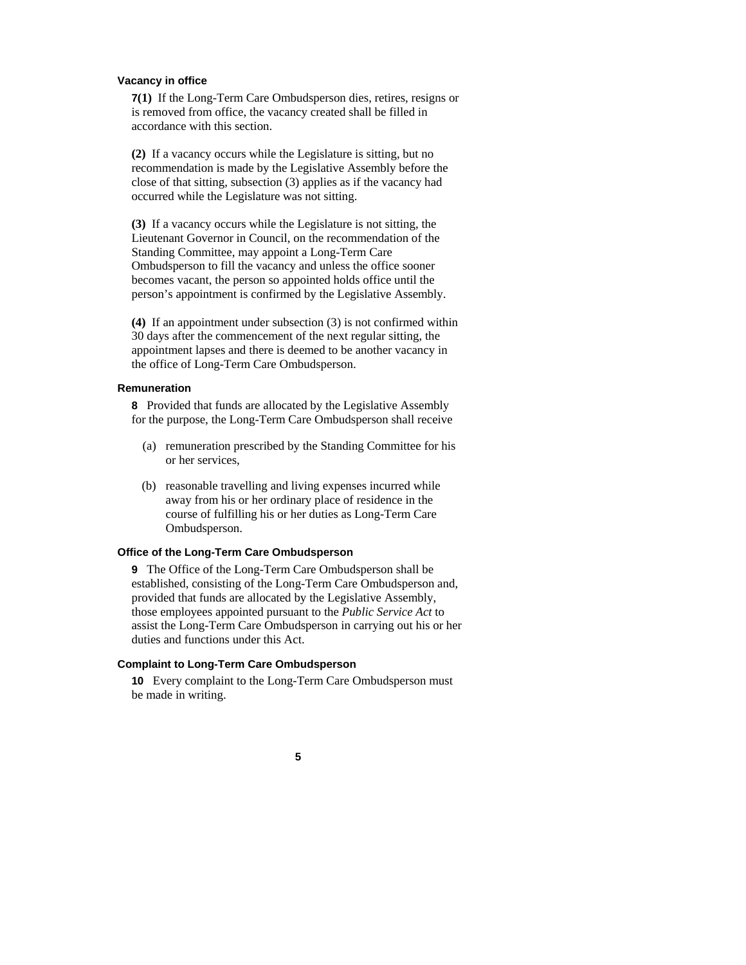#### **Vacancy in office**

**7(1)** If the Long-Term Care Ombudsperson dies, retires, resigns or is removed from office, the vacancy created shall be filled in accordance with this section.

**(2)** If a vacancy occurs while the Legislature is sitting, but no recommendation is made by the Legislative Assembly before the close of that sitting, subsection (3) applies as if the vacancy had occurred while the Legislature was not sitting.

**(3)** If a vacancy occurs while the Legislature is not sitting, the Lieutenant Governor in Council, on the recommendation of the Standing Committee, may appoint a Long-Term Care Ombudsperson to fill the vacancy and unless the office sooner becomes vacant, the person so appointed holds office until the person's appointment is confirmed by the Legislative Assembly.

**(4)** If an appointment under subsection (3) is not confirmed within 30 days after the commencement of the next regular sitting, the appointment lapses and there is deemed to be another vacancy in the office of Long-Term Care Ombudsperson.

#### **Remuneration**

**8** Provided that funds are allocated by the Legislative Assembly for the purpose, the Long-Term Care Ombudsperson shall receive

- (a) remuneration prescribed by the Standing Committee for his or her services,
- (b) reasonable travelling and living expenses incurred while away from his or her ordinary place of residence in the course of fulfilling his or her duties as Long-Term Care Ombudsperson.

#### **Office of the Long-Term Care Ombudsperson**

**9** The Office of the Long-Term Care Ombudsperson shall be established, consisting of the Long-Term Care Ombudsperson and, provided that funds are allocated by the Legislative Assembly, those employees appointed pursuant to the *Public Service Act* to assist the Long-Term Care Ombudsperson in carrying out his or her duties and functions under this Act.

# **Complaint to Long-Term Care Ombudsperson**

**10** Every complaint to the Long-Term Care Ombudsperson must be made in writing.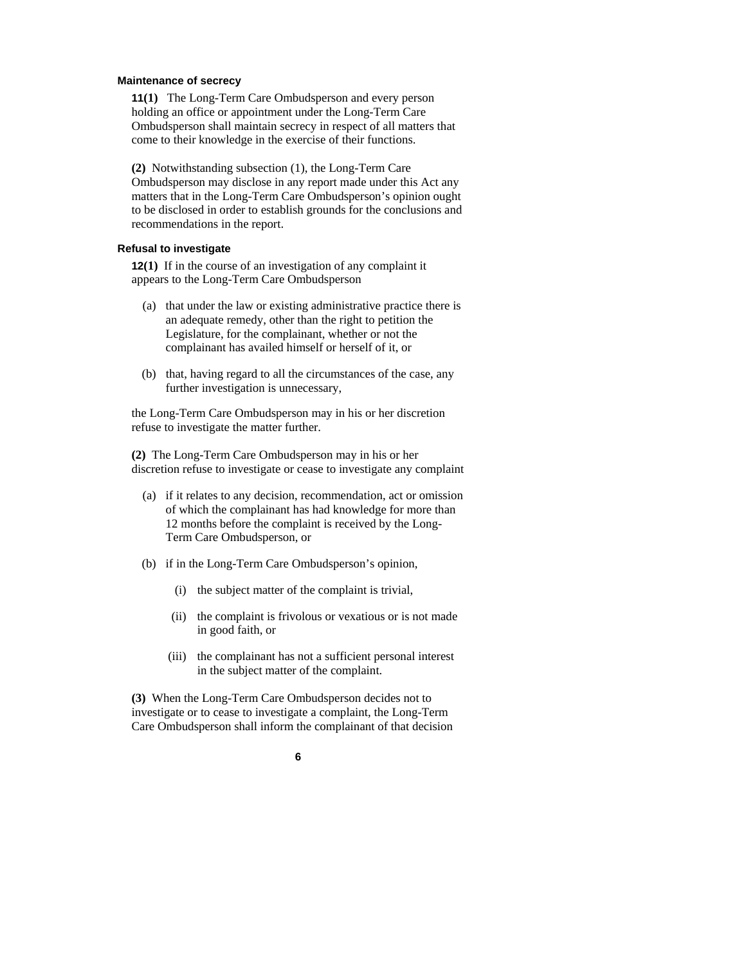#### **Maintenance of secrecy**

**11(1)** The Long-Term Care Ombudsperson and every person holding an office or appointment under the Long-Term Care Ombudsperson shall maintain secrecy in respect of all matters that come to their knowledge in the exercise of their functions.

**(2)** Notwithstanding subsection (1), the Long-Term Care Ombudsperson may disclose in any report made under this Act any matters that in the Long-Term Care Ombudsperson's opinion ought to be disclosed in order to establish grounds for the conclusions and recommendations in the report.

# **Refusal to investigate**

**12(1)** If in the course of an investigation of any complaint it appears to the Long-Term Care Ombudsperson

- (a) that under the law or existing administrative practice there is an adequate remedy, other than the right to petition the Legislature, for the complainant, whether or not the complainant has availed himself or herself of it, or
- (b) that, having regard to all the circumstances of the case, any further investigation is unnecessary,

the Long-Term Care Ombudsperson may in his or her discretion refuse to investigate the matter further.

**(2)** The Long-Term Care Ombudsperson may in his or her discretion refuse to investigate or cease to investigate any complaint

- (a) if it relates to any decision, recommendation, act or omission of which the complainant has had knowledge for more than 12 months before the complaint is received by the Long-Term Care Ombudsperson, or
- (b) if in the Long-Term Care Ombudsperson's opinion,
	- (i) the subject matter of the complaint is trivial,
	- (ii) the complaint is frivolous or vexatious or is not made in good faith, or
	- (iii) the complainant has not a sufficient personal interest in the subject matter of the complaint.

**(3)** When the Long-Term Care Ombudsperson decides not to investigate or to cease to investigate a complaint, the Long-Term Care Ombudsperson shall inform the complainant of that decision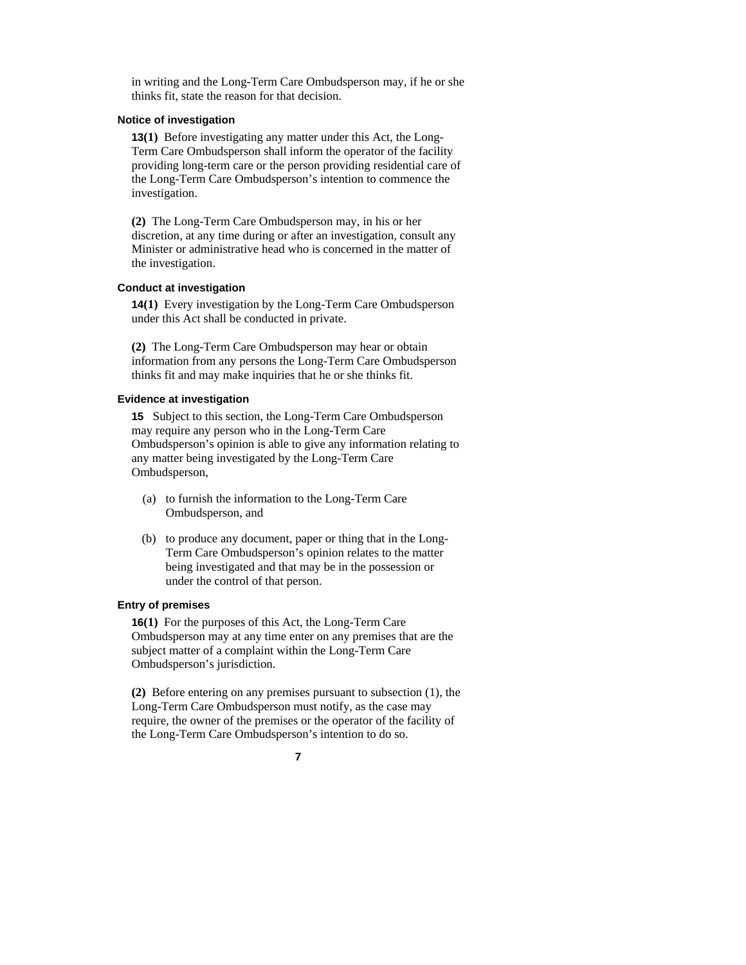in writing and the Long-Term Care Ombudsperson may, if he or she thinks fit, state the reason for that decision.

# **Notice of investigation**

**13(1)** Before investigating any matter under this Act, the Long-Term Care Ombudsperson shall inform the operator of the facility providing long-term care or the person providing residential care of the Long-Term Care Ombudsperson's intention to commence the investigation.

**(2)** The Long-Term Care Ombudsperson may, in his or her discretion, at any time during or after an investigation, consult any Minister or administrative head who is concerned in the matter of the investigation.

#### **Conduct at investigation**

**14(1)** Every investigation by the Long-Term Care Ombudsperson under this Act shall be conducted in private.

**(2)** The Long-Term Care Ombudsperson may hear or obtain information from any persons the Long-Term Care Ombudsperson thinks fit and may make inquiries that he or she thinks fit.

### **Evidence at investigation**

**15** Subject to this section, the Long-Term Care Ombudsperson may require any person who in the Long-Term Care Ombudsperson's opinion is able to give any information relating to any matter being investigated by the Long-Term Care Ombudsperson,

- (a) to furnish the information to the Long-Term Care Ombudsperson, and
- (b) to produce any document, paper or thing that in the Long-Term Care Ombudsperson's opinion relates to the matter being investigated and that may be in the possession or under the control of that person.

#### **Entry of premises**

**16(1)** For the purposes of this Act, the Long-Term Care Ombudsperson may at any time enter on any premises that are the subject matter of a complaint within the Long-Term Care Ombudsperson's jurisdiction.

**(2)** Before entering on any premises pursuant to subsection (1), the Long-Term Care Ombudsperson must notify, as the case may require, the owner of the premises or the operator of the facility of the Long-Term Care Ombudsperson's intention to do so.

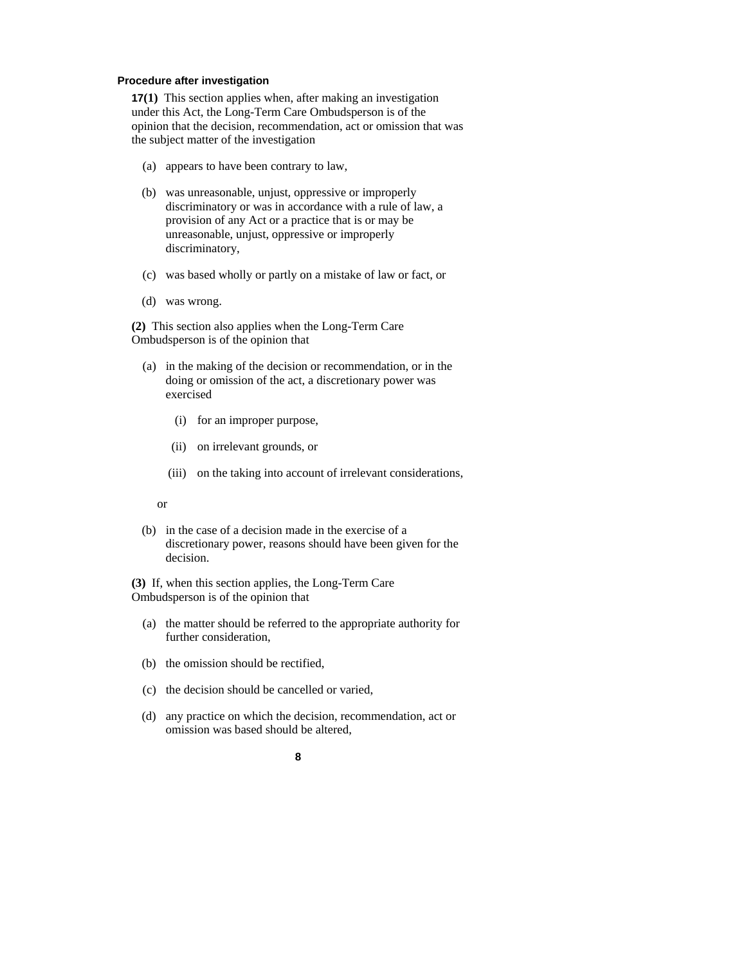# **Procedure after investigation**

**17(1)** This section applies when, after making an investigation under this Act, the Long-Term Care Ombudsperson is of the opinion that the decision, recommendation, act or omission that was the subject matter of the investigation

- (a) appears to have been contrary to law,
- (b) was unreasonable, unjust, oppressive or improperly discriminatory or was in accordance with a rule of law, a provision of any Act or a practice that is or may be unreasonable, unjust, oppressive or improperly discriminatory,
- (c) was based wholly or partly on a mistake of law or fact, or
- (d) was wrong.

**(2)** This section also applies when the Long-Term Care Ombudsperson is of the opinion that

- (a) in the making of the decision or recommendation, or in the doing or omission of the act, a discretionary power was exercised
	- (i) for an improper purpose,
	- (ii) on irrelevant grounds, or
	- (iii) on the taking into account of irrelevant considerations,

or

 (b) in the case of a decision made in the exercise of a discretionary power, reasons should have been given for the decision.

**(3)** If, when this section applies, the Long-Term Care Ombudsperson is of the opinion that

- (a) the matter should be referred to the appropriate authority for further consideration,
- (b) the omission should be rectified,
- (c) the decision should be cancelled or varied,
- (d) any practice on which the decision, recommendation, act or omission was based should be altered,

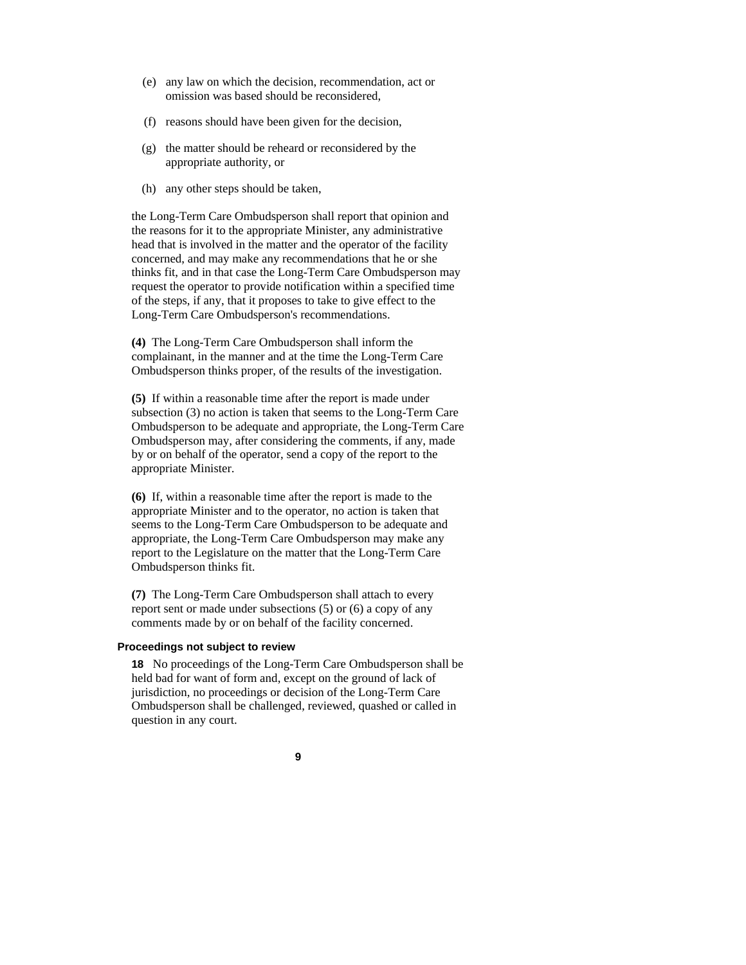- (e) any law on which the decision, recommendation, act or omission was based should be reconsidered,
- (f) reasons should have been given for the decision,
- (g) the matter should be reheard or reconsidered by the appropriate authority, or
- (h) any other steps should be taken,

the Long-Term Care Ombudsperson shall report that opinion and the reasons for it to the appropriate Minister, any administrative head that is involved in the matter and the operator of the facility concerned, and may make any recommendations that he or she thinks fit, and in that case the Long-Term Care Ombudsperson may request the operator to provide notification within a specified time of the steps, if any, that it proposes to take to give effect to the Long-Term Care Ombudsperson's recommendations.

**(4)** The Long-Term Care Ombudsperson shall inform the complainant, in the manner and at the time the Long-Term Care Ombudsperson thinks proper, of the results of the investigation.

**(5)** If within a reasonable time after the report is made under subsection (3) no action is taken that seems to the Long-Term Care Ombudsperson to be adequate and appropriate, the Long-Term Care Ombudsperson may, after considering the comments, if any, made by or on behalf of the operator, send a copy of the report to the appropriate Minister.

**(6)** If, within a reasonable time after the report is made to the appropriate Minister and to the operator, no action is taken that seems to the Long-Term Care Ombudsperson to be adequate and appropriate, the Long-Term Care Ombudsperson may make any report to the Legislature on the matter that the Long-Term Care Ombudsperson thinks fit.

**(7)** The Long-Term Care Ombudsperson shall attach to every report sent or made under subsections (5) or (6) a copy of any comments made by or on behalf of the facility concerned.

#### **Proceedings not subject to review**

**18** No proceedings of the Long-Term Care Ombudsperson shall be held bad for want of form and, except on the ground of lack of jurisdiction, no proceedings or decision of the Long-Term Care Ombudsperson shall be challenged, reviewed, quashed or called in question in any court.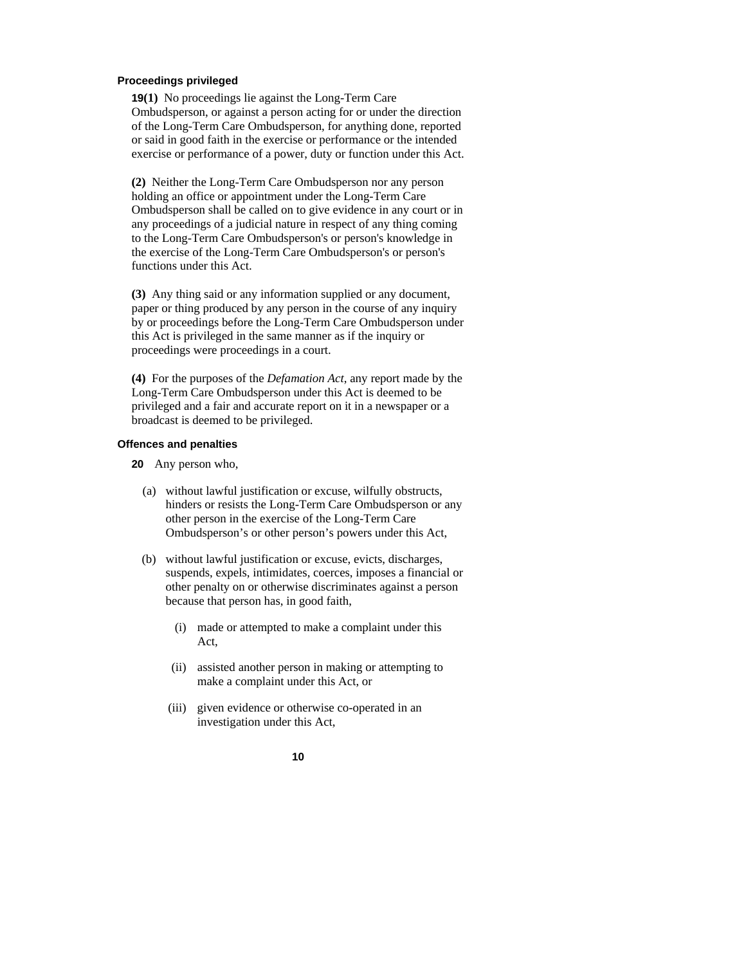#### **Proceedings privileged**

**19(1)** No proceedings lie against the Long-Term Care Ombudsperson, or against a person acting for or under the direction of the Long-Term Care Ombudsperson, for anything done, reported or said in good faith in the exercise or performance or the intended exercise or performance of a power, duty or function under this Act.

**(2)** Neither the Long-Term Care Ombudsperson nor any person holding an office or appointment under the Long-Term Care Ombudsperson shall be called on to give evidence in any court or in any proceedings of a judicial nature in respect of any thing coming to the Long-Term Care Ombudsperson's or person's knowledge in the exercise of the Long-Term Care Ombudsperson's or person's functions under this Act.

**(3)** Any thing said or any information supplied or any document, paper or thing produced by any person in the course of any inquiry by or proceedings before the Long-Term Care Ombudsperson under this Act is privileged in the same manner as if the inquiry or proceedings were proceedings in a court.

**(4)** For the purposes of the *Defamation Act*, any report made by the Long-Term Care Ombudsperson under this Act is deemed to be privileged and a fair and accurate report on it in a newspaper or a broadcast is deemed to be privileged.

#### **Offences and penalties**

- **20** Any person who,
	- (a) without lawful justification or excuse, wilfully obstructs, hinders or resists the Long-Term Care Ombudsperson or any other person in the exercise of the Long-Term Care Ombudsperson's or other person's powers under this Act,
	- (b) without lawful justification or excuse, evicts, discharges, suspends, expels, intimidates, coerces, imposes a financial or other penalty on or otherwise discriminates against a person because that person has, in good faith,
		- (i) made or attempted to make a complaint under this Act,
		- (ii) assisted another person in making or attempting to make a complaint under this Act, or
		- (iii) given evidence or otherwise co-operated in an investigation under this Act,